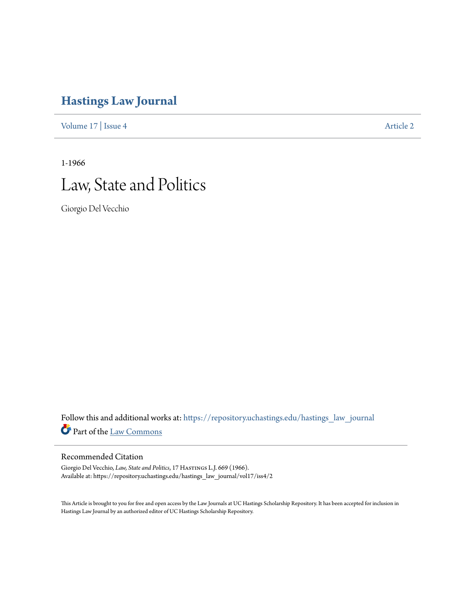## **[Hastings Law Journal](https://repository.uchastings.edu/hastings_law_journal?utm_source=repository.uchastings.edu%2Fhastings_law_journal%2Fvol17%2Fiss4%2F2&utm_medium=PDF&utm_campaign=PDFCoverPages)**

[Volume 17](https://repository.uchastings.edu/hastings_law_journal/vol17?utm_source=repository.uchastings.edu%2Fhastings_law_journal%2Fvol17%2Fiss4%2F2&utm_medium=PDF&utm_campaign=PDFCoverPages) | [Issue 4](https://repository.uchastings.edu/hastings_law_journal/vol17/iss4?utm_source=repository.uchastings.edu%2Fhastings_law_journal%2Fvol17%2Fiss4%2F2&utm_medium=PDF&utm_campaign=PDFCoverPages) [Article 2](https://repository.uchastings.edu/hastings_law_journal/vol17/iss4/2?utm_source=repository.uchastings.edu%2Fhastings_law_journal%2Fvol17%2Fiss4%2F2&utm_medium=PDF&utm_campaign=PDFCoverPages)

1-1966



Giorgio Del Vecchio

Follow this and additional works at: [https://repository.uchastings.edu/hastings\\_law\\_journal](https://repository.uchastings.edu/hastings_law_journal?utm_source=repository.uchastings.edu%2Fhastings_law_journal%2Fvol17%2Fiss4%2F2&utm_medium=PDF&utm_campaign=PDFCoverPages) Part of the [Law Commons](http://network.bepress.com/hgg/discipline/578?utm_source=repository.uchastings.edu%2Fhastings_law_journal%2Fvol17%2Fiss4%2F2&utm_medium=PDF&utm_campaign=PDFCoverPages)

## Recommended Citation

Giorgio Del Vecchio, *Law, State and Politics*, 17 HASTINGS L.J. 669 (1966). Available at: https://repository.uchastings.edu/hastings\_law\_journal/vol17/iss4/2

This Article is brought to you for free and open access by the Law Journals at UC Hastings Scholarship Repository. It has been accepted for inclusion in Hastings Law Journal by an authorized editor of UC Hastings Scholarship Repository.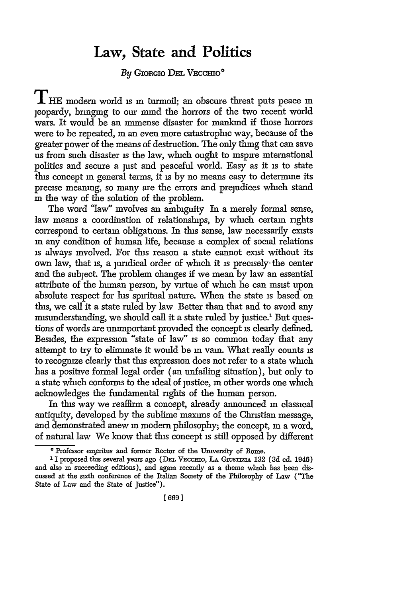## **Law, State and Politics**

*By* GIORGIo **DE.** VEccuIo

THE modern world is m turmoil; an obscure threat puts peace m jeopardy, bringing to our mind the horrors of the two recent world wars. It would be an immense disaster for mankind if those horrors were to be repeated, **in** an even more catastrophic way, because of the greater power of the means of destruction. The only thing that can save us from such disaster is the law, which ought to inspire international politics and secure a just and peaceful world. Easy as it is to state this concept **in** general terms, it **is** by no means easy to determine its precise meaning, so many are the errors and prejudices which stand in the way of the solution of the problem.

The word "law" mvolves an ambiguity In a merely formal sense, law means a coordination of relationships, by which certain rights correspond to certain obligations. In this sense, law necessarily exists **in** any condition of human life, because a complex of social relations **is** always involved. For tis reason a state cannot exist without its own law, that **is,** a juridical order of which it **is** precisely- the center and the subject. The problem changes if we mean by law an essential attribute of the human person, by virtue of which he can insist upon absolute respect for his spiritual nature. When the state is based on this, we call it a state ruled by law Better than that and to avoid any misunderstanding, we should call it a state ruled by justice.<sup>1</sup> But questions of words are unimportant provided the concept **is** clearly defined. Besides, the expression "state of law" is so common today that any attempt to try to eliminate it would be in vain. What really counts is to recognize clearly that this expression does not refer to a state which has a positive formal legal order (an unfailing situation), but only to a state which conforms to the ideal of justice, **in** other words one which acknowledges the fundamental rights of the human person.

In this way we reaffirm a concept, already announced **in** classical antiquity, developed by the sublime maxims of the Christian message, and demonstrated anew **in** modern philosophy; the concept, **in** a word, of natural law We know that this concept is still opposed by different

<sup>&</sup>lt;sup>o</sup> Professor emeritus and former Rector of the University of Rome.

**<sup>11</sup>** proposed this several years ago **(DEL** Vccmo, **LA GrusTzA 132 (3d** ed. 1946) and also in succeeding editions), and again recently as a theme which has been discussed at the sixth conference of the Italian Society of the Philosophy of Law ("The State of Law and the State of Justice").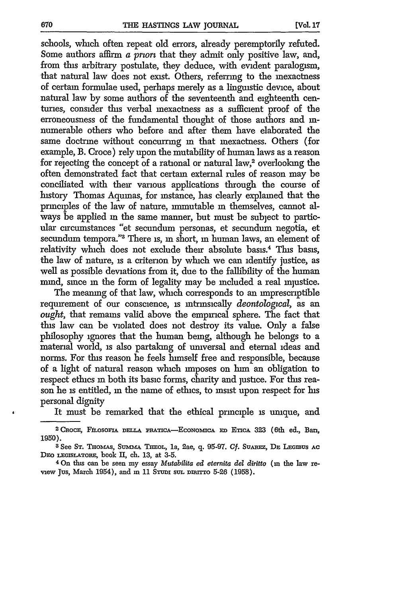schools, which often repeat old errors, already peremptorily refuted. Some authors affirm a *prorz* that they admit only positive law, and, from this arbitrary postulate, they deduce, with evident paralogism, that natural law does not exist. Others, referring to the inexactness of certain formulae used, perhaps merely as a linguistic device, about natural law by some authors of the seventeenth and eighteenth centuries, consider this verbal inexactness as a sufficient proof of the erroneousness of the fundamental thought of those authors and innumerable others who before and after them have elaborated the same doctrine without concurring **in** that inexactness. Others (for example, B. Croce) rely upon the mutability of human laws as a reason for rejecting the concept of a rational or natural law,<sup>2</sup> overlooking the often demonstrated fact that certain external rules of reason may be conciliated with their various applications through the course of history Thomas Aquinas, for instance, has clearly explained that the principles of the law of nature, immutable in themselves, cannot always be applied in the same manner, but must be subject to particular circumstances "et secundum personas, et secundumn negotia, et secundum tempora."<sup>3</sup> There is, in short, in human laws, an element of relativity which does not exclude their absolute basis.<sup>4</sup> This basis, the law of nature, is a criterion by which we can identify justice, as well as possible deviations from it, due to the fallibility of the human mind, since in the form of legality may be included a real injustice.

The meaning of that law, which corresponds to an imprescriptible requirement of our conscience, is intrinsically *deontological,* as an ought, that remains valid above the empirical sphere. The fact that fins law can be violated does not destroy its value. Only a false philosophy ignores that the human being, although he belongs to a material world, is also partaking of universal and eternal ideas and norms. For this reason he feels himself free and responsible, because of a light of natural reason which imposes on him an obligation to respect ethics in both its basic forms, charity and justice. For this reason he is entitled, in the name of ethics, to insist upon respect for his personal dignity

It must be remarked that the ethical principle is unique, and

<sup>&</sup>lt;sup>2</sup> CROCE, FILOSOFIA DELLA PRATICA-ECONOMICA ED ETICA 323 (6th ed., Ban, 1950).

**<sup>3</sup> See ST.** THOmAS, **SuMm& THEOL,** la, 2ae, **q.** 95-97. **Cf. SuArz, DE LEGMUS AC** DEo **IEGISLATORE,** book **I,** ch. 13, at 3-5.

<sup>4</sup> On this **can** be seen my essay *Mutabilita ed eternita del diritto* (m the law review Jus, March 1954), and in 11 STUDI sul DIRITTO 5-26 (1958).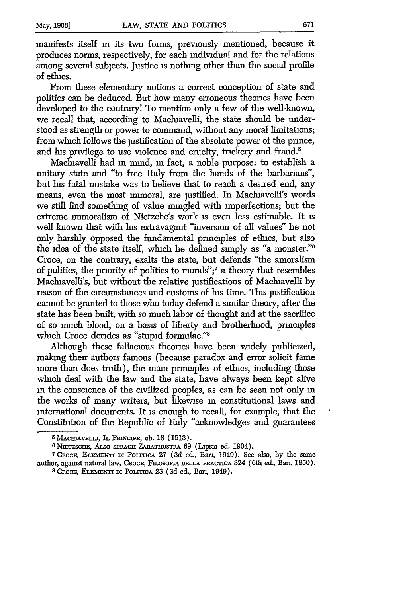manifests itself in its two forms, previously mentioned, because it produces norms, respectively, for each individual and for the relations among several subjects. Justice is nothing other than the social profile of ethics.

From these elementary notions a correct conception of state and politics can be deduced. But how many erroneous theories have been developed to the contrary! To mention only a few of the well-known, we recall that, according to Machiavelli, the state should be understood as strength or power to command, without any moral limitations; from which follows the justification of the absolute power of the prince, and his privilege to use violence and cruelty, trickery and fraud.<sup>5</sup>

Machiavelli had **in** mind, **in** fact, a noble purpose: to establish a unitary state and "to free Italy from the hands of the barbarians", but his fatal mistake was to believe that to reach a desired end, any means, even the most immoral, are justified. **In** Machiavelli's words we still find something of value mingled with imperfections; but the extreme mmoralism of Nietzche's work is even less estimable. It is well known that with his extravagant "inversion of all values" he not only harshly opposed the fundamental principles of ethics, but also the idea of the state itself, which he defined simply as "a monster."6 Croce, on the contrary, exalts the state, but defends "the amoralism of politics, the pnority of politics to morals";7 a theory that resembles Machiavelli's, but without the relative justifications of Machiavelli by reason of the circumstances and customs of his time. This justification cannot be granted to those who today defend a similar theory, after the state has been built, with so much labor of thought and at the sacrifice of so much blood, on a basis of liberty and brotherhood, principles which Croce derides as "stupid formulae."8

Although these fallacious theories have been widely publicized, making their authors famous (because paradox and error solicit fame more than does truth), the main principles of ethics, including those which deal with the law and the state, have always been kept alive **in** the conscience of the civilized peoples, as can be seen not only **in** the works of many writers, but likewise in constitutional laws and international documents. It **is** enough to recall, for example, that the Constitution of the Republic of Italy "acknowledges and guarantees

<sup>&</sup>lt;sup>5</sup> MACHIAVELLI, IL PRINCIPE, ch. 18 (1513).<br><sup>6</sup> NIETZSCHE, ALSO SPRACH ZARATHUSTRA 69 (Lipsia ed. 1904).

<sup>&</sup>lt;sup>7</sup> CROCE, ELEMENTI DI POLITICA 27 (3d ed., Bari, 1949). See also, by the same author, against natural law, CROCE, FILOSOFIA DELLA PRACTICA 324 (6th ed., Bari, 1950). <sup>8</sup>CROCE, ELEMENTI DI POLITICA 23 (3d ed., Ban, 1949).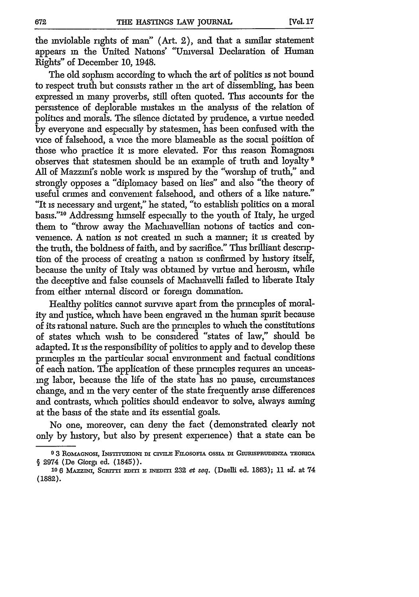the inviolable rights of man" (Art. 2), and that a similar statement appears in the United Nations' "Universal Declaration of Human Rights" of December 10, 1948.

The old sophism according to which the art of politics is not bound to respect truth but consists rather in the art of dissembling, has been expressed in many proverbs, still often quoted. This accounts for the persistence of deplorable mistakes in the analysis of the relation of politics and morals. The silence dictated by prudence, a virtue needed by everyone and especially by statesmen, has been confused with the vice of falsehood, a vice the more blameable as the social position of those who practice it is more elevated. For this reason Romagnosi observes that statesmen should be an example of truth and loyalty <sup>9</sup> All of Mazzini's noble work is inspired by the "worship of truth," and strongly opposes a "diplomacy based on lies" and also "the theory of useful crimes and convement falsehood, and others of a like nature." "It is necessary and urgent," he stated, "to establish politics on a moral basis."<sup>10</sup> Addressing himself especially to the youth of Italy, he urged them to "throw away the Machiavellian notions of tactics and convemence. A nation is not created in such a manner; it is created by the truth, the boldness of faith, and by sacrifice." This brilliant description of the process of creating a nation is confirmed by history itself, because the unity of Italy was obtained by virtue and heroism, while the deceptive and false counsels of Machiavelli failed to liberate Italy from either internal discord or foreign domination.

Healthy politics cannot survive apart from the principles of morality and justice, which have been engraved in the human spirit because of its rational nature. Such are the principles to which the constitutions of states which wish to be considered "states of law," should be adapted. It is the responsibility of politics to apply and to develop these principles in the particular social environment and factual conditions of each nation. The application of these principles requires an unceasing labor, because the life of the state has no pause, circumstances change, and in the very center of the state frequently arise differences and contrasts, which politics should endeavor to solve, always aiming at the basis of the state and its essential goals.

No one, moreover, can deny the fact (demonstrated clearly not only by history, but also by present experience) that a state can be

<sup>&</sup>lt;sup>9</sup> 3 ROMAGNOSI, INSTITUZIONI DI CIVILE FILOSOFIA OSSIA DI GIURISPRUDENZA TEORICA § 2974 (De Giorgi ed. (1845)).

<sup>10 6</sup> MAZZINI, SCRITTI EDITI E INEDITI 232 et seq. (Daelli ed. 1863); 11 *td.* at 74 **(1882).**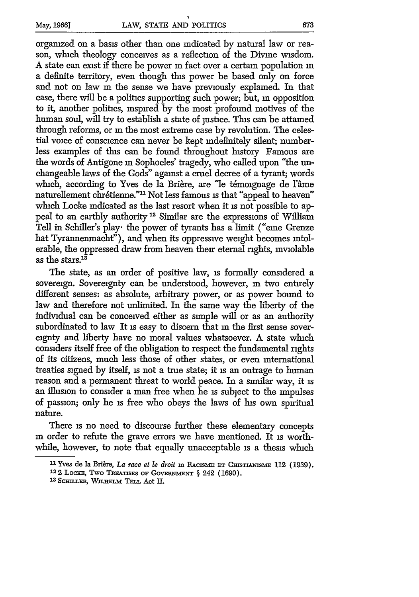organized on a basis other than one indicated by natural law or reason, which theology conceives as a reflection of the Divine wisdom. A state can exist if there be power in fact over a certain population **in** a definite territory, even though this power be based only on force and not on law in the sense we have previously explained. In that case, there will be a politics supporting such power; but, in opposition to it, another politics, inspired by the most profound motives of the human soul, will try to establish a state of justice. This can be attained through reforms, or **in** the most extreme case by revolution. The celestial voice of conscience can never be kept indefinitely silent; numberless examples of this can be found throughout history Famous are the words of Antigone in Sophocles' tragedy, who called upon "the unchangeable laws of the Gods" against a cruel decree of a tyrant; words which, according to Yves de la Brière, are "le témoignage de l'âme naturellement chrétienne."<sup>11</sup> Not less famous is that "appeal to heaven" which Locke indicated as the last resort when it is not possible to appeal to an earthly authority<sup>12</sup> Similar are the expressions of William Tell in Schiller's play- the power of tyrants has a limit ("eme Grenze hat Tyrannenmacht"), and when its oppressive weight becomes intolerable, the oppressed draw from heaven their eternal rights, inviolable as the stars. $^{13}$ 

The state, as an order of positive law, is formally considered a sovereign. Sovereignty can be understood, however, in two entirely different senses: as absolute, arbitrary power, or as power bound to law and therefore not unlimited. In the same way the liberty of the individual can be conceived either as simple will or as an authority subordinated to law It is easy to discern that in the first sense sovereignty and liberty have no moral values whatsoever. A state which considers itself free of the obligation to respect the fundamental rights of its citizens, much less those of other states, or even international treaties signed by itself, **is** not a true state; it is an outrage to human reason and a permanent threat to world peace. In a similar way, it is an illusion to consider a man free when he is subject to the impulses of passion; only he is free who obeys the laws of his own spiritual nature.

There is no need to discourse further these elementary concepts in order to refute the grave errors we have mentioned. It is worthwhile, however, to note that equally unacceptable is a thesis which

<sup>&</sup>lt;sup>11</sup> Yves de la Brière, *La race et le droit* in RACISME ET CHISTIANISME 112 (1939).

**<sup>122</sup> LOCKE, TWO TREATISES OF GOVERNMENT § 242 (1690).** 

<sup>13</sup> SCHILLER, WILHELM TELL Act II.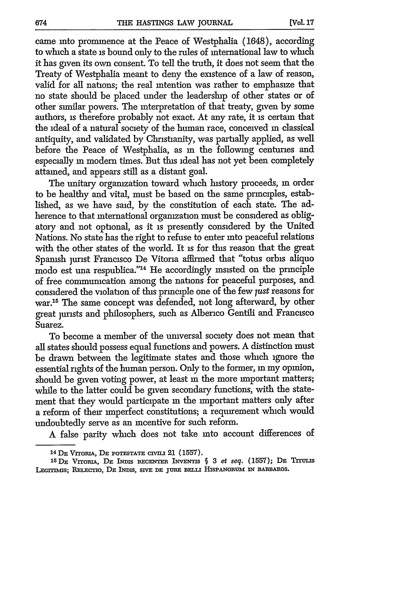came into prominence at the Peace of Westphalia (1648), according to which a state is bound only to the rules of international law to which it has given its own consent. To tell the truth, it does not seem that the Treaty of Westphalia meant to deny the existence of a law of reason, valid for all nations; the real intention was rather to emphasize that no state should be placed under the leadership of other states or of other similar powers. The interpretation of that treaty, given by some authors, is therefore probably not exact. At any rate, it is certain that the ideal of a natural society of the human race, conceived **in** classical antiquity, and validated by Christianity, was partially applied, as well before the Peace of Westphalia, as in the following centuries and especially **in** modem times. But this ideal has not yet been completely attained, and appears still as a distant goal.

The unitary organization toward which history proceeds, **in** order to be healthy and vital, must be based on the same principles, established, as we have said, by the constitution of each state. The adherence to that international organization must be considered as obligatory and not optional, as it is presently considered by the United Nations. No state has the right to refuse to enter into peaceful relations with the other states of the world. It is for this reason that the great Spanish jurist Francisco De Vitoria affirmed that "totus orbis aliquo modo est una respublica."14 He accordingly insisted on the principle of free commuication among the nations for peaceful purposes, and considered the violation of this principle one of the few *just* reasons for war.<sup>15</sup> The same concept was defended, not long afterward, by other great jurists and philosophers, such as Alberico Gentili and Francisco Suarez.

To become a member of the universal society does not mean that all states should possess equal functions and powers. A distinction must be drawn between the legitimate states and those which ignore the essential rights of the human person. Only to the former, **in** my opinion, should be given voting power, at least **in** the more important matters; while to the latter could be given secondary functions, with the statement that they would participate in the important matters only after a reform of their imperfect constitutions; a requirement which would undoubtedly serve as an incentive for such reform.

A false parity which does not take into account differences of

**<sup>14</sup> DE VrroBIA, DE POTESTATE CIVIL!** 21 **(1557).**

<sup>1&</sup>lt;sup>5</sup> **DE VITORIA, DE INDIS RECENTER INVENTIS** § 3 *et seq.* (1557); DE TITULIS LEGITIMIS; RELECTIO, DE INDIS, SIVE DE JURE BELLI HISPANORUM IN BARBAROS.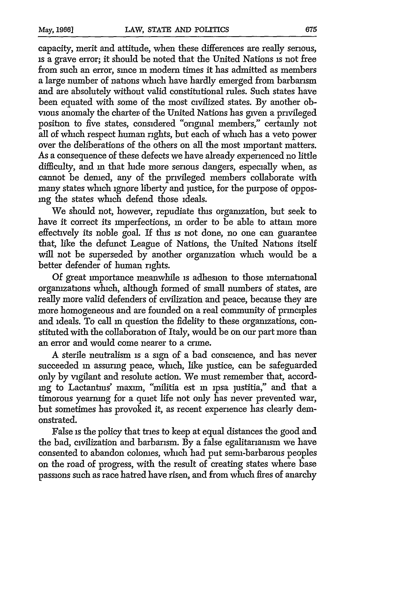capacity, merit and attitude, when these differences are really serious, is a grave error; it should be noted that the United Nations is not free from such an error, since **in** modem times it has admitted as members a large number of nations which have hardly emerged from barbarism and are absolutely without valid constitutional rules. Such states have been equated with some of the most civilized states. By another obvious anomaly the charter of the United Nations has given a privileged position to five states, considered "original members," certainly not all of which respect human rights, but each of which has a veto power over the deliberations of the others on all the most important matters. As a consequence of these defects we have already experienced no little difficulty, and **in** that hide more serious dangers, especially when, as cannot be demed, any of the privileged members collaborate with many states which ignore liberty and justice, for the purpose of opposng the states which defend those ideals.

We should not, however, repudiate this organization, but seek to have it correct its imperfections, in order to be able to attain more effectively its noble goal. If this *is* not done, no one can guarantee that, like the defunct League of Nations, the United Nations itself will not be superseded by another organization which would be a better defender of human rights.

Of great importance meanwhile is adhesion to those international organizations which, although formed of small numbers of states, are really more valid defenders of civilization and peace, because they are more homogeneous and are founded on a real community of principles and ideals. To call in question the fidelity to these organizations, constituted with the collaboration of Italy, would be on our part more than an error and would come nearer to a crime.

A sterile neutralism is a sign of a bad conscience, and has never succeeded in assuring peace, which, like justice, can be safeguarded only by vigilant and resolute action. We must remember that, accordng to Lactantius" maxim, "militia est **in** ipsa ]ustitia," and that a timorous yearning for a quiet life not only has never prevented war, but sometimes has provoked it, as recent experience has clearly demonstrated.

False is the policy that tries to keep at equal distances the good and the bad, civilization and barbarism. By a false egalitarianism we have consented to abandon colonies, which had put semi-barbarous peoples on the road of progress, with the result of creating states where base passions such as race hatred have risen, and from which fires of anarchy